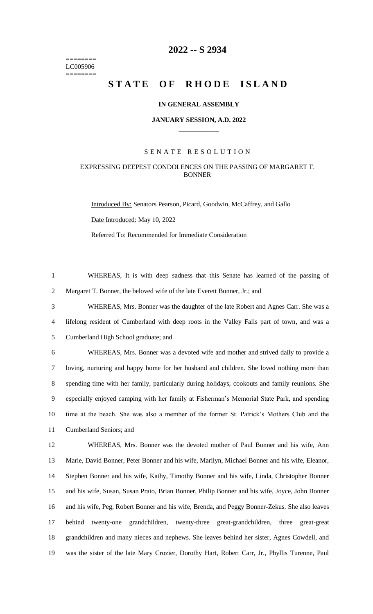======== LC005906 ========

# **-- S 2934**

# **STATE OF RHODE ISLAND**

### **IN GENERAL ASSEMBLY**

#### **JANUARY SESSION, A.D. 2022 \_\_\_\_\_\_\_\_\_\_\_\_**

## S E N A T E R E S O L U T I O N

# EXPRESSING DEEPEST CONDOLENCES ON THE PASSING OF MARGARET T. BONNER

Introduced By: Senators Pearson, Picard, Goodwin, McCaffrey, and Gallo Date Introduced: May 10, 2022

Referred To: Recommended for Immediate Consideration

 WHEREAS, It is with deep sadness that this Senate has learned of the passing of Margaret T. Bonner, the beloved wife of the late Everett Bonner, Jr.; and

 WHEREAS, Mrs. Bonner was the daughter of the late Robert and Agnes Carr. She was a lifelong resident of Cumberland with deep roots in the Valley Falls part of town, and was a

Cumberland High School graduate; and

 WHEREAS, Mrs. Bonner was a devoted wife and mother and strived daily to provide a loving, nurturing and happy home for her husband and children. She loved nothing more than spending time with her family, particularly during holidays, cookouts and family reunions. She especially enjoyed camping with her family at Fisherman's Memorial State Park, and spending time at the beach. She was also a member of the former St. Patrick's Mothers Club and the Cumberland Seniors; and

 WHEREAS, Mrs. Bonner was the devoted mother of Paul Bonner and his wife, Ann Marie, David Bonner, Peter Bonner and his wife, Marilyn, Michael Bonner and his wife, Eleanor, Stephen Bonner and his wife, Kathy, Timothy Bonner and his wife, Linda, Christopher Bonner and his wife, Susan, Susan Prato, Brian Bonner, Philip Bonner and his wife, Joyce, John Bonner and his wife, Peg, Robert Bonner and his wife, Brenda, and Peggy Bonner-Zekus. She also leaves behind twenty-one grandchildren, twenty-three great-grandchildren, three great-great grandchildren and many nieces and nephews. She leaves behind her sister, Agnes Cowdell, and was the sister of the late Mary Crozier, Dorothy Hart, Robert Carr, Jr., Phyllis Turenne, Paul